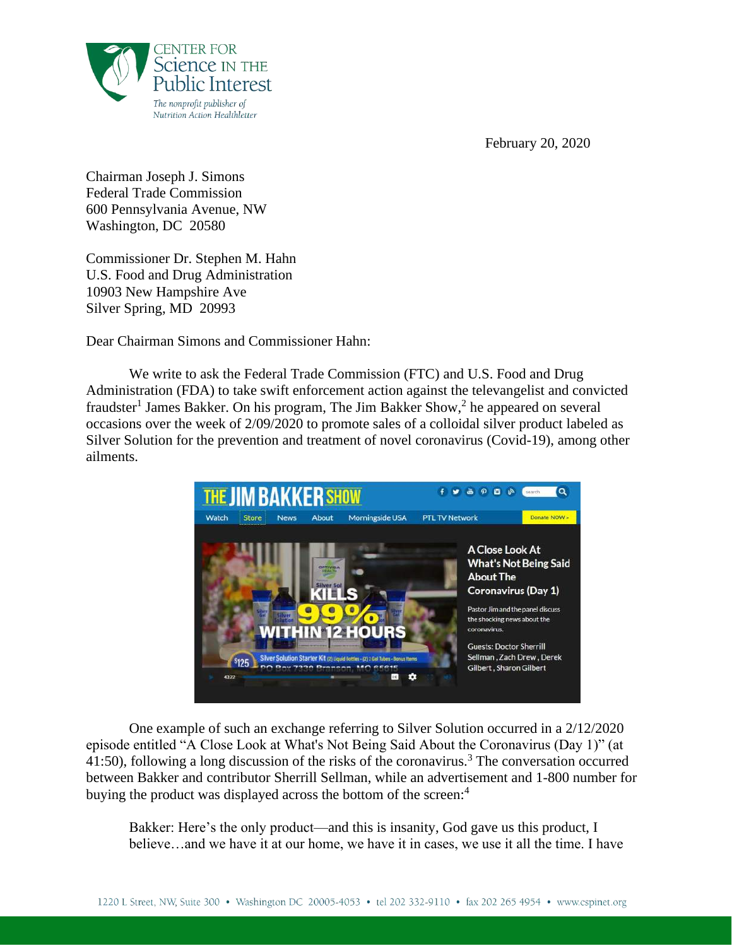



Chairman Joseph J. Simons Federal Trade Commission 600 Pennsylvania Avenue, NW Washington, DC 20580

Commissioner Dr. Stephen M. Hahn U.S. Food and Drug Administration 10903 New Hampshire Ave Silver Spring, MD 20993

Dear Chairman Simons and Commissioner Hahn:

We write to ask the Federal Trade Commission (FTC) and U.S. Food and Drug Administration (FDA) to take swift enforcement action against the televangelist and convicted fraudster<sup>1</sup> James Bakker. On his program, The Jim Bakker Show,<sup>2</sup> he appeared on several occasions over the week of 2/09/2020 to promote sales of a colloidal silver product labeled as Silver Solution for the prevention and treatment of novel coronavirus (Covid-19), among other ailments.



One example of such an exchange referring to Silver Solution occurred in a 2/12/2020 episode entitled "A Close Look at What's Not Being Said About the Coronavirus (Day 1)" (at 41:50), following a long discussion of the risks of the coronavirus.<sup>3</sup> The conversation occurred between Bakker and contributor Sherrill Sellman, while an advertisement and 1-800 number for buying the product was displayed across the bottom of the screen:<sup>4</sup>

Bakker: Here's the only product—and this is insanity, God gave us this product, I believe…and we have it at our home, we have it in cases, we use it all the time. I have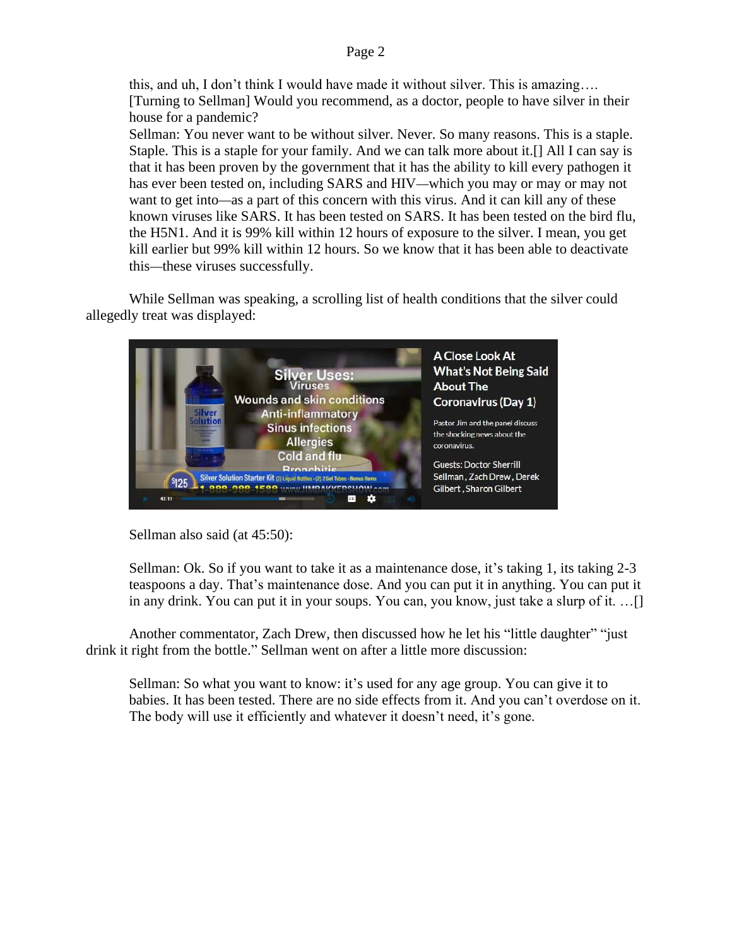this, and uh, I don't think I would have made it without silver. This is amazing…. [Turning to Sellman] Would you recommend, as a doctor, people to have silver in their house for a pandemic?

Sellman: You never want to be without silver. Never. So many reasons. This is a staple. Staple. This is a staple for your family. And we can talk more about it.[] All I can say is that it has been proven by the government that it has the ability to kill every pathogen it has ever been tested on, including SARS and HIV—which you may or may or may not want to get into—as a part of this concern with this virus. And it can kill any of these known viruses like SARS. It has been tested on SARS. It has been tested on the bird flu, the H5N1. And it is 99% kill within 12 hours of exposure to the silver. I mean, you get kill earlier but 99% kill within 12 hours. So we know that it has been able to deactivate this—these viruses successfully.

While Sellman was speaking, a scrolling list of health conditions that the silver could allegedly treat was displayed:



Sellman also said (at 45:50):

Sellman: Ok. So if you want to take it as a maintenance dose, it's taking 1, its taking 2-3 teaspoons a day. That's maintenance dose. And you can put it in anything. You can put it in any drink. You can put it in your soups. You can, you know, just take a slurp of it. …[]

Another commentator, Zach Drew, then discussed how he let his "little daughter" "just drink it right from the bottle." Sellman went on after a little more discussion:

Sellman: So what you want to know: it's used for any age group. You can give it to babies. It has been tested. There are no side effects from it. And you can't overdose on it. The body will use it efficiently and whatever it doesn't need, it's gone.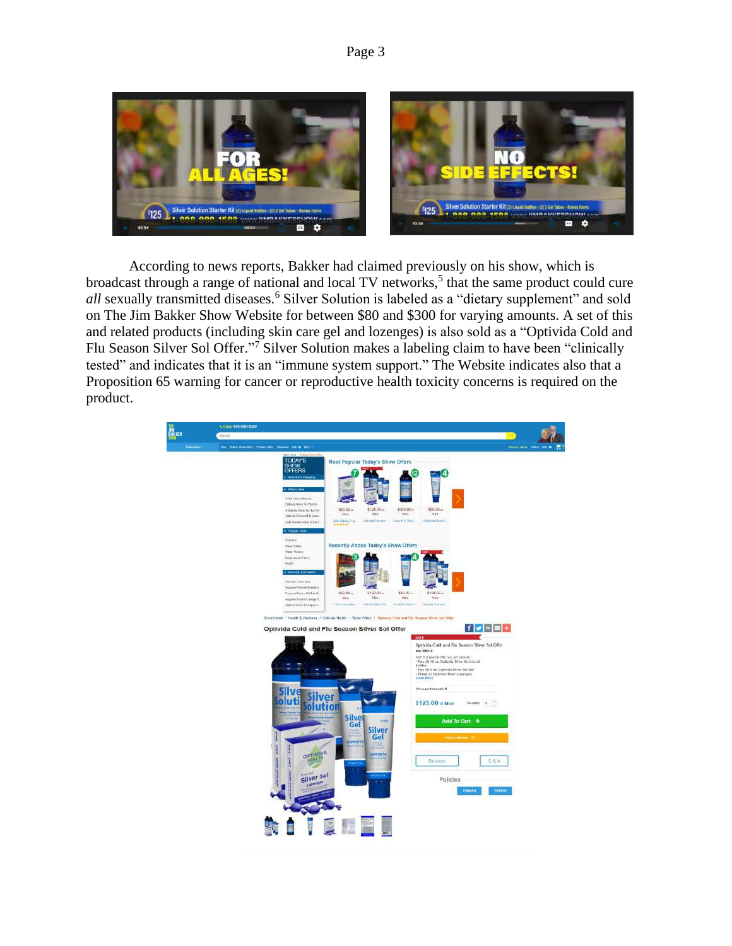

According to news reports, Bakker had claimed previously on his show, which is broadcast through a range of national and local TV networks,<sup>5</sup> that the same product could cure *all* sexually transmitted diseases.<sup>6</sup> Silver Solution is labeled as a "dietary supplement" and sold on The Jim Bakker Show Website for between \$80 and \$300 for varying amounts. A set of this and related products (including skin care gel and lozenges) is also sold as a "Optivida Cold and Flu Season Silver Sol Offer."<sup>7</sup> Silver Solution makes a labeling claim to have been "clinically tested" and indicates that it is an "immune system support." The Website indicates also that a Proposition 65 warning for cancer or reproductive health toxicity concerns is required on the product.

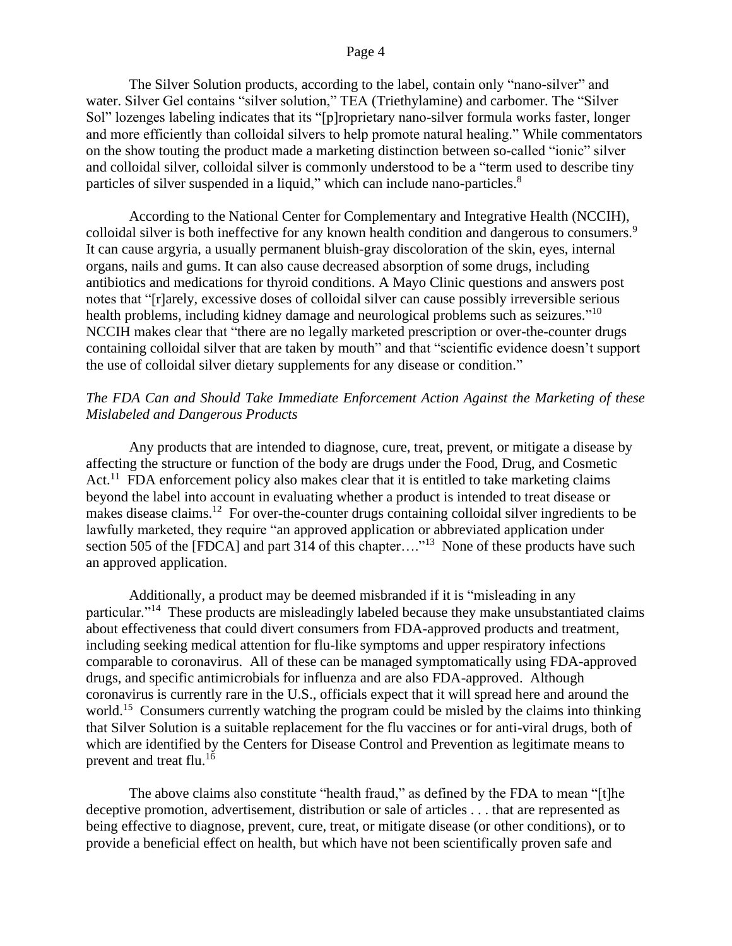### Page 4

The Silver Solution products, according to the label, contain only "nano-silver" and water. Silver Gel contains "silver solution," TEA (Triethylamine) and carbomer. The "Silver Sol" lozenges labeling indicates that its "[p]roprietary nano-silver formula works faster, longer and more efficiently than colloidal silvers to help promote natural healing." While commentators on the show touting the product made a marketing distinction between so-called "ionic" silver and colloidal silver, colloidal silver is commonly understood to be a "term used to describe tiny particles of silver suspended in a liquid," which can include nano-particles.<sup>8</sup>

According to the National Center for Complementary and Integrative Health (NCCIH), colloidal silver is both ineffective for any known health condition and dangerous to consumers.<sup>9</sup> It can cause argyria, a usually permanent bluish-gray discoloration of the skin, eyes, internal organs, nails and gums. It can also cause decreased absorption of some drugs, including antibiotics and medications for thyroid conditions. A Mayo Clinic questions and answers post notes that "[r]arely, excessive doses of colloidal silver can cause possibly irreversible serious health problems, including kidney damage and neurological problems such as seizures."<sup>10</sup> NCCIH makes clear that "there are no legally marketed prescription or over-the-counter drugs containing colloidal silver that are taken by mouth" and that "scientific evidence doesn't support the use of colloidal silver dietary supplements for any disease or condition."

### *The FDA Can and Should Take Immediate Enforcement Action Against the Marketing of these Mislabeled and Dangerous Products*

Any products that are intended to diagnose, cure, treat, prevent, or mitigate a disease by affecting the structure or function of the body are drugs under the Food, Drug, and Cosmetic Act.<sup>11</sup> FDA enforcement policy also makes clear that it is entitled to take marketing claims beyond the label into account in evaluating whether a product is intended to treat disease or makes disease claims.<sup>12</sup> For over-the-counter drugs containing colloidal silver ingredients to be lawfully marketed, they require "an approved application or abbreviated application under section 505 of the [FDCA] and part 314 of this chapter...."<sup>13</sup> None of these products have such an approved application.

Additionally, a product may be deemed misbranded if it is "misleading in any particular."<sup>14</sup> These products are misleadingly labeled because they make unsubstantiated claims about effectiveness that could divert consumers from FDA-approved products and treatment, including seeking medical attention for flu-like symptoms and upper respiratory infections comparable to coronavirus. All of these can be managed symptomatically using FDA-approved drugs, and specific antimicrobials for influenza and are also FDA-approved. Although coronavirus is currently rare in the U.S., officials expect that it will spread here and around the world.<sup>15</sup> Consumers currently watching the program could be misled by the claims into thinking that Silver Solution is a suitable replacement for the flu vaccines or for anti-viral drugs, both of which are identified by the Centers for Disease Control and Prevention as legitimate means to prevent and treat flu.<sup>16</sup>

The above claims also constitute "health fraud," as defined by the FDA to mean "[t]he deceptive promotion, advertisement, distribution or sale of articles . . . that are represented as being effective to diagnose, prevent, cure, treat, or mitigate disease (or other conditions), or to provide a beneficial effect on health, but which have not been scientifically proven safe and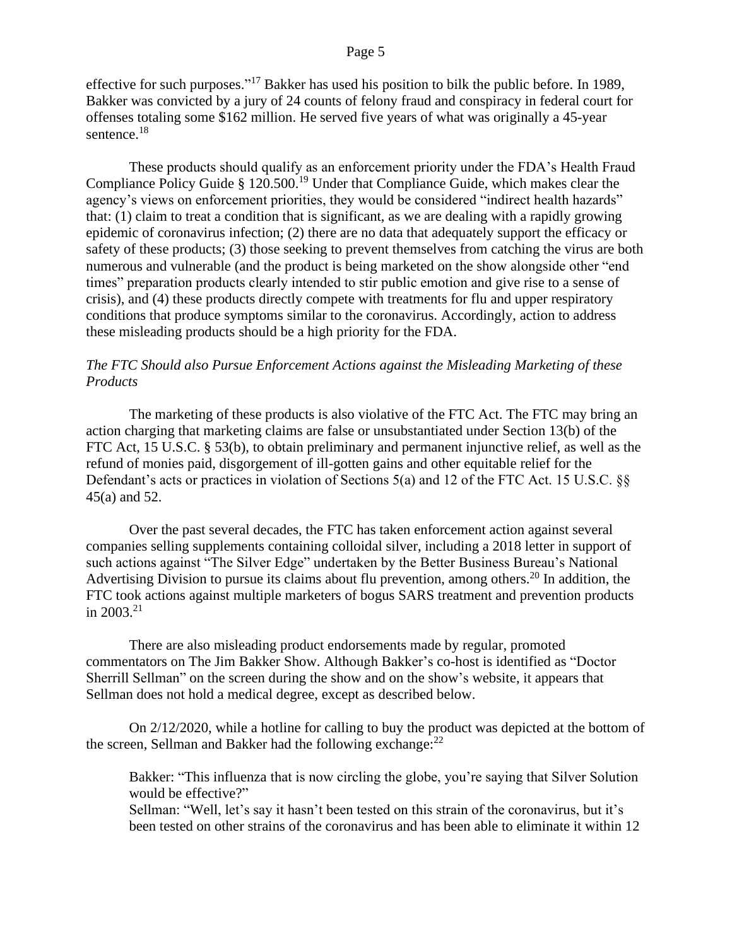### Page 5

effective for such purposes."<sup>17</sup> Bakker has used his position to bilk the public before. In 1989, Bakker was convicted by a jury of 24 counts of felony fraud and conspiracy in federal court for offenses totaling some \$162 million. He served five years of what was originally a 45-year sentence.<sup>18</sup>

These products should qualify as an enforcement priority under the FDA's Health Fraud Compliance Policy Guide § 120.500.<sup>19</sup> Under that Compliance Guide, which makes clear the agency's views on enforcement priorities, they would be considered "indirect health hazards" that: (1) claim to treat a condition that is significant, as we are dealing with a rapidly growing epidemic of coronavirus infection; (2) there are no data that adequately support the efficacy or safety of these products; (3) those seeking to prevent themselves from catching the virus are both numerous and vulnerable (and the product is being marketed on the show alongside other "end times" preparation products clearly intended to stir public emotion and give rise to a sense of crisis), and (4) these products directly compete with treatments for flu and upper respiratory conditions that produce symptoms similar to the coronavirus. Accordingly, action to address these misleading products should be a high priority for the FDA.

## *The FTC Should also Pursue Enforcement Actions against the Misleading Marketing of these Products*

The marketing of these products is also violative of the FTC Act. The FTC may bring an action charging that marketing claims are false or unsubstantiated under Section 13(b) of the FTC Act, 15 U.S.C. § 53(b), to obtain preliminary and permanent injunctive relief, as well as the refund of monies paid, disgorgement of ill-gotten gains and other equitable relief for the Defendant's acts or practices in violation of Sections 5(a) and 12 of the FTC Act. 15 U.S.C.  $\S$ 45(a) and 52.

Over the past several decades, the FTC has taken enforcement action against several companies selling supplements containing colloidal silver, including a 2018 letter in support of such actions against "The Silver Edge" undertaken by the Better Business Bureau's National Advertising Division to pursue its claims about flu prevention, among others.<sup>20</sup> In addition, the FTC took actions against multiple marketers of bogus SARS treatment and prevention products in 2003.<sup>21</sup>

There are also misleading product endorsements made by regular, promoted commentators on The Jim Bakker Show. Although Bakker's co-host is identified as "Doctor Sherrill Sellman" on the screen during the show and on the show's website, it appears that Sellman does not hold a medical degree, except as described below.

On 2/12/2020, while a hotline for calling to buy the product was depicted at the bottom of the screen, Sellman and Bakker had the following exchange:  $22$ 

Bakker: "This influenza that is now circling the globe, you're saying that Silver Solution would be effective?"

Sellman: "Well, let's say it hasn't been tested on this strain of the coronavirus, but it's been tested on other strains of the coronavirus and has been able to eliminate it within 12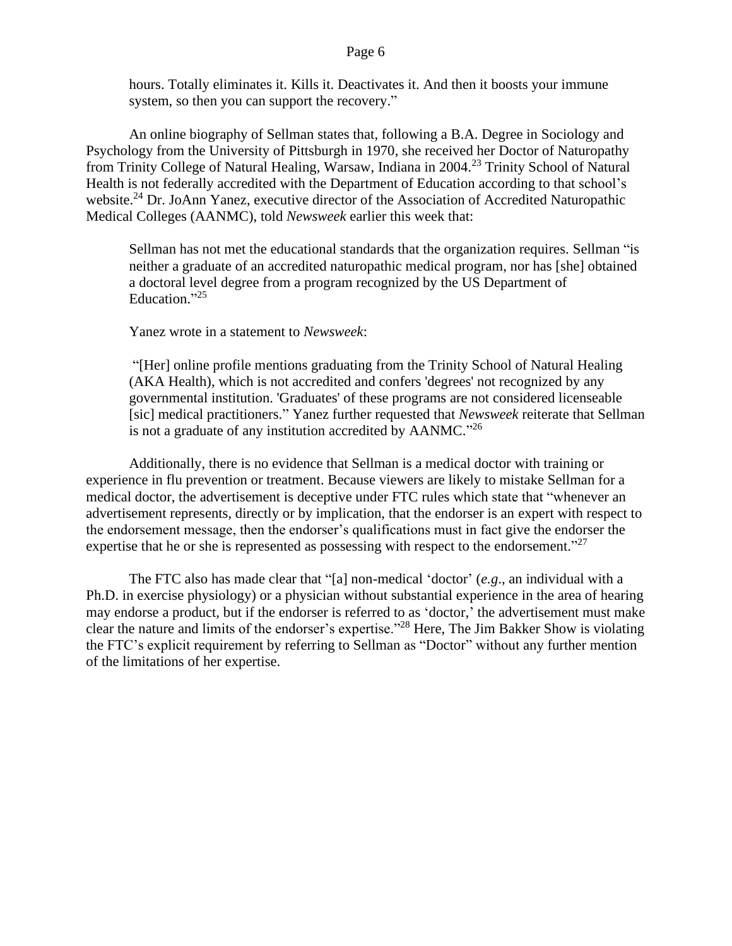hours. Totally eliminates it. Kills it. Deactivates it. And then it boosts your immune system, so then you can support the recovery."

An online biography of Sellman states that, following a B.A. Degree in Sociology and Psychology from the University of Pittsburgh in 1970, she received her Doctor of Naturopathy from Trinity College of Natural Healing, Warsaw, Indiana in 2004.<sup>23</sup> Trinity School of Natural Health is not federally accredited with the Department of Education according to that school's website.<sup>24</sup> Dr. JoAnn Yanez, executive director of the Association of Accredited Naturopathic Medical Colleges (AANMC), told *Newsweek* earlier this week that:

Sellman has not met the educational standards that the organization requires. Sellman "is neither a graduate of an accredited naturopathic medical program, nor has [she] obtained a doctoral level degree from a program recognized by the US Department of Education."25

Yanez wrote in a statement to *Newsweek*:

"[Her] online profile mentions graduating from the Trinity School of Natural Healing (AKA Health), which is not accredited and confers 'degrees' not recognized by any governmental institution. 'Graduates' of these programs are not considered licenseable [sic] medical practitioners." Yanez further requested that *Newsweek* reiterate that Sellman is not a graduate of any institution accredited by  $AANMC.^{926}$ 

Additionally, there is no evidence that Sellman is a medical doctor with training or experience in flu prevention or treatment. Because viewers are likely to mistake Sellman for a medical doctor, the advertisement is deceptive under FTC rules which state that "whenever an advertisement represents, directly or by implication, that the endorser is an expert with respect to the endorsement message, then the endorser's qualifications must in fact give the endorser the expertise that he or she is represented as possessing with respect to the endorsement."<sup>27</sup>

The FTC also has made clear that "[a] non-medical 'doctor' (*e.g*., an individual with a Ph.D. in exercise physiology) or a physician without substantial experience in the area of hearing may endorse a product, but if the endorser is referred to as 'doctor,' the advertisement must make clear the nature and limits of the endorser's expertise." <sup>28</sup> Here, The Jim Bakker Show is violating the FTC's explicit requirement by referring to Sellman as "Doctor" without any further mention of the limitations of her expertise.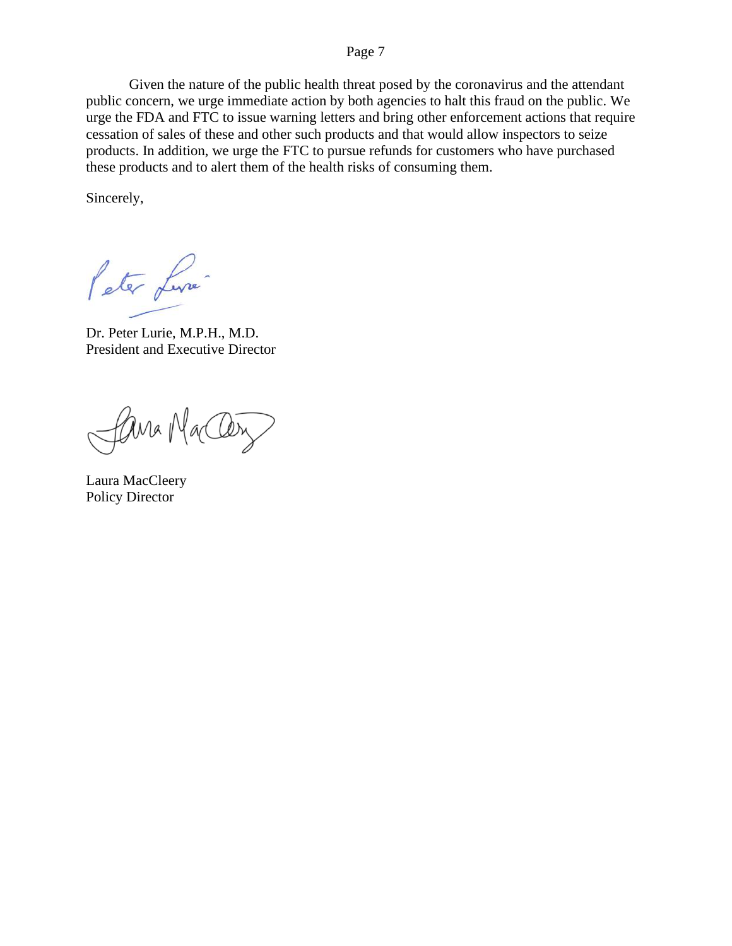### Page 7

Given the nature of the public health threat posed by the coronavirus and the attendant public concern, we urge immediate action by both agencies to halt this fraud on the public. We urge the FDA and FTC to issue warning letters and bring other enforcement actions that require cessation of sales of these and other such products and that would allow inspectors to seize products. In addition, we urge the FTC to pursue refunds for customers who have purchased these products and to alert them of the health risks of consuming them.

Sincerely,

Peter Live

Dr. Peter Lurie, M.P.H., M.D. President and Executive Director

Cana MacCery

Laura MacCleery Policy Director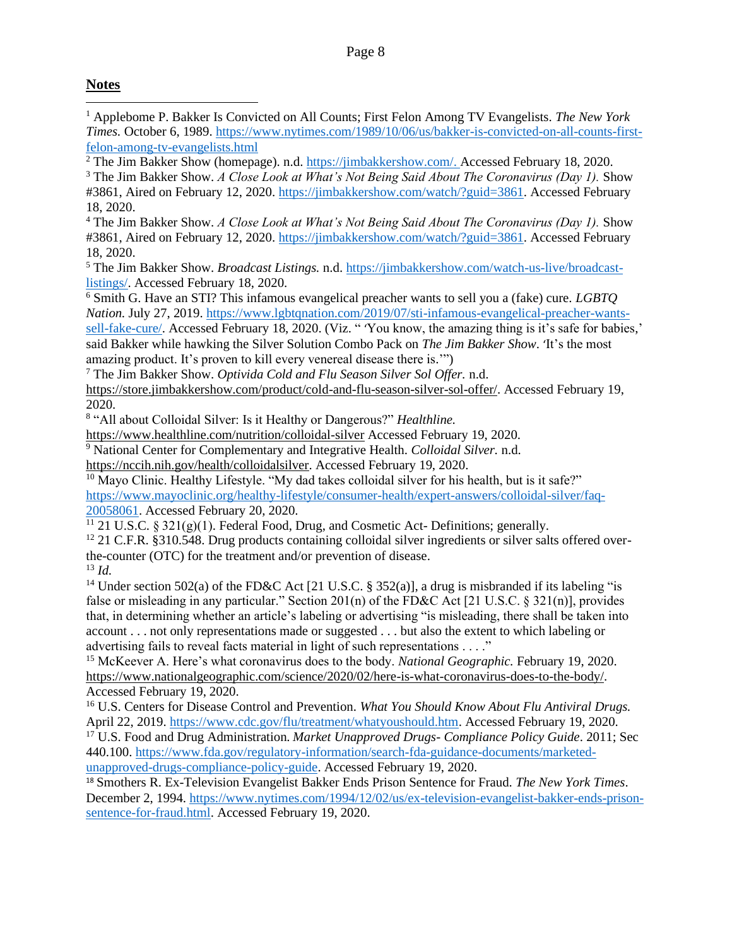# **Notes**

<sup>1</sup> Applebome P. Bakker Is Convicted on All Counts; First Felon Among TV Evangelists. *The New York Times.* October 6, 1989. [https://www.nytimes.com/1989/10/06/us/bakker-is-convicted-on-all-counts-first](https://www.nytimes.com/1989/10/06/us/bakker-is-convicted-on-all-counts-first-felon-among-tv-evangelists.html)[felon-among-tv-evangelists.html](https://www.nytimes.com/1989/10/06/us/bakker-is-convicted-on-all-counts-first-felon-among-tv-evangelists.html)

<sup>2</sup> The Jim Bakker Show (homepage). n.d. [https://jimbakkershow.com/.](https://jimbakkershow.com/) Accessed February 18, 2020.

<sup>3</sup> The Jim Bakker Show. *A Close Look at What's Not Being Said About The Coronavirus (Day 1)*. Show #3861, Aired on February 12, 2020. [https://jimbakkershow.com/watch/?guid=3861.](https://jimbakkershow.com/watch/?guid=3861) Accessed February 18, 2020.

<sup>4</sup> The Jim Bakker Show. *A Close Look at What's Not Being Said About The Coronavirus (Day 1).* Show #3861, Aired on February 12, 2020. [https://jimbakkershow.com/watch/?guid=3861.](https://jimbakkershow.com/watch/?guid=3861) Accessed February 18, 2020.

<sup>5</sup> The Jim Bakker Show. *Broadcast Listings.* n.d. [https://jimbakkershow.com/watch-us-live/broadcast](https://jimbakkershow.com/watch-us-live/broadcast-listings/)[listings/.](https://jimbakkershow.com/watch-us-live/broadcast-listings/) Accessed February 18, 2020.

<sup>6</sup> Smith G. Have an STI? This infamous evangelical preacher wants to sell you a (fake) cure. *LGBTQ Nation.* July 27, 2019. [https://www.lgbtqnation.com/2019/07/sti-infamous-evangelical-preacher-wants-](https://www.lgbtqnation.com/2019/07/sti-infamous-evangelical-preacher-wants-sell-fake-cure/)

[sell-fake-cure/.](https://www.lgbtqnation.com/2019/07/sti-infamous-evangelical-preacher-wants-sell-fake-cure/) Accessed February 18, 2020. (Viz. "You know, the amazing thing is it's safe for babies,' said Bakker while hawking the Silver Solution Combo Pack on *The Jim Bakker Show*. 'It's the most amazing product. It's proven to kill every venereal disease there is.'")

<sup>7</sup> The Jim Bakker Show. *Optivida Cold and Flu Season Silver Sol Offer.* n.d.

[https://store.jimbakkershow.com/product/cold-and-flu-season-silver-sol-offer/.](https://store.jimbakkershow.com/product/cold-and-flu-season-silver-sol-offer/) Accessed February 19, 2020.

8 "All about Colloidal Silver: Is it Healthy or Dangerous?" *Healthline.* 

<https://www.healthline.com/nutrition/colloidal-silver> Accessed February 19, 2020.

<sup>9</sup> National Center for Complementary and Integrative Health. *Colloidal Silver.* n.d.

[https://nccih.nih.gov/health/colloidalsilver.](https://nccih.nih.gov/health/colloidalsilver) Accessed February 19, 2020.

 $10$  Mayo Clinic. Healthy Lifestyle. "My dad takes colloidal silver for his health, but is it safe?" [https://www.mayoclinic.org/healthy-lifestyle/consumer-health/expert-answers/colloidal-silver/faq-](https://www.mayoclinic.org/healthy-lifestyle/consumer-health/expert-answers/colloidal-silver/faq-20058061)[20058061.](https://www.mayoclinic.org/healthy-lifestyle/consumer-health/expert-answers/colloidal-silver/faq-20058061) Accessed February 20, 2020.

 $11$  21 U.S.C. § 321(g)(1). Federal Food, Drug, and Cosmetic Act- Definitions; generally.

 $12$  21 C.F.R. §310.548. Drug products containing colloidal silver ingredients or silver salts offered overthe-counter (OTC) for the treatment and/or prevention of disease.

<sup>13</sup> *Id.*

<sup>14</sup> Under section 502(a) of the FD&C Act [21 U.S.C. § 352(a)], a drug is misbranded if its labeling "is false or misleading in any particular." Section 201(n) of the FD&C Act [21 U.S.C.  $\S 321(n)$ ], provides that, in determining whether an article's labeling or advertising "is misleading, there shall be taken into account . . . not only representations made or suggested . . . but also the extent to which labeling or advertising fails to reveal facts material in light of such representations . . . ."

<sup>15</sup> McKeever A. Here's what coronavirus does to the body. *National Geographic.* February 19, 2020. [https://www.nationalgeographic.com/science/2020/02/here-is-what-coronavirus-does-to-the-body/.](https://www.nationalgeographic.com/science/2020/02/here-is-what-coronavirus-does-to-the-body/) Accessed February 19, 2020.

<sup>16</sup> U.S. Centers for Disease Control and Prevention. *What You Should Know About Flu Antiviral Drugs.* April 22, 2019. [https://www.cdc.gov/flu/treatment/whatyoushould.htm.](https://www.cdc.gov/flu/treatment/whatyoushould.htm) Accessed February 19, 2020.

<sup>17</sup> U.S. Food and Drug Administration*. Market Unapproved Drugs- Compliance Policy Guide*. 2011; Sec 440.100. [https://www.fda.gov/regulatory-information/search-fda-guidance-documents/marketed](https://www.fda.gov/regulatory-information/search-fda-guidance-documents/marketed-unapproved-drugs-compliance-policy-guide)[unapproved-drugs-compliance-policy-guide.](https://www.fda.gov/regulatory-information/search-fda-guidance-documents/marketed-unapproved-drugs-compliance-policy-guide) Accessed February 19, 2020.

<sup>18</sup> Smothers R. Ex-Television Evangelist Bakker Ends Prison Sentence for Fraud. *The New York Times*. December 2, 1994. [https://www.nytimes.com/1994/12/02/us/ex-television-evangelist-bakker-ends-prison](https://www.nytimes.com/1994/12/02/us/ex-television-evangelist-bakker-ends-prison-sentence-for-fraud.html)[sentence-for-fraud.html.](https://www.nytimes.com/1994/12/02/us/ex-television-evangelist-bakker-ends-prison-sentence-for-fraud.html) Accessed February 19, 2020.